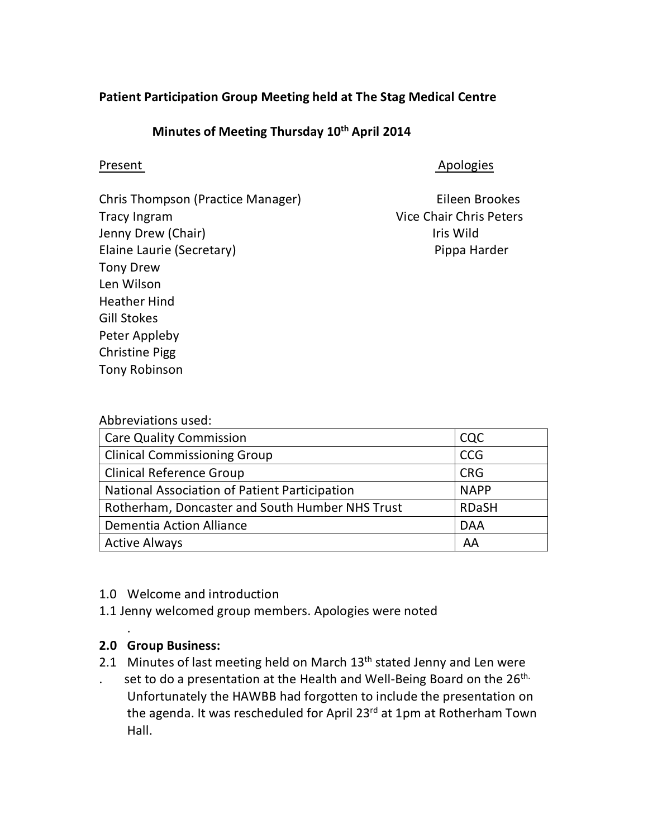#### **Patient Participation Group Meeting held at The Stag Medical Centre**

## **Minutes of Meeting Thursday 10th April 2014**

Present Apologies Apologies

Eileen Brookes Vice Chair Chris Peters Iris Wild Pippa Harder

Abbreviations used:

| <b>Care Quality Commission</b>                  | CQC          |
|-------------------------------------------------|--------------|
| <b>Clinical Commissioning Group</b>             | <b>CCG</b>   |
| <b>Clinical Reference Group</b>                 | <b>CRG</b>   |
| National Association of Patient Participation   | <b>NAPP</b>  |
| Rotherham, Doncaster and South Humber NHS Trust | <b>RDaSH</b> |
| <b>Dementia Action Alliance</b>                 | <b>DAA</b>   |
| <b>Active Always</b>                            | AA           |

#### 1.0 Welcome and introduction

1.1 Jenny welcomed group members. Apologies were noted

#### **2.0 Group Business:**

.

- 2.1 Minutes of last meeting held on March 13<sup>th</sup> stated Jenny and Len were
- . set to do a presentation at the Health and Well-Being Board on the  $26<sup>th</sup>$ . Unfortunately the HAWBB had forgotten to include the presentation on the agenda. It was rescheduled for April 23<sup>rd</sup> at 1pm at Rotherham Town Hall.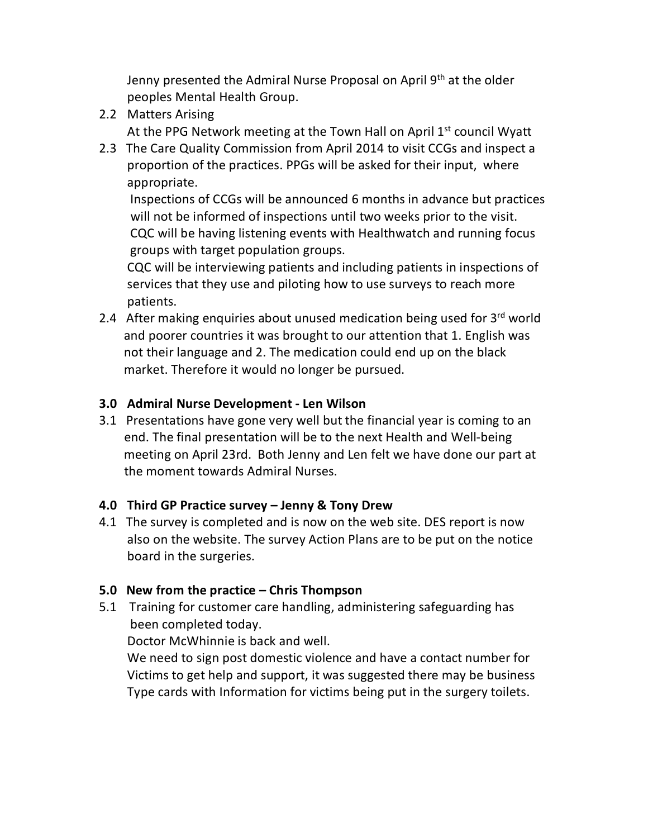Jenny presented the Admiral Nurse Proposal on April 9<sup>th</sup> at the older peoples Mental Health Group.

- 2.2 Matters Arising At the PPG Network meeting at the Town Hall on April 1<sup>st</sup> council Wyatt
- 2.3 The Care Quality Commission from April 2014 to visit CCGs and inspect a proportion of the practices. PPGs will be asked for their input, where appropriate.

 Inspections of CCGs will be announced 6 months in advance but practices will not be informed of inspections until two weeks prior to the visit. CQC will be having listening events with Healthwatch and running focus groups with target population groups.

 CQC will be interviewing patients and including patients in inspections of services that they use and piloting how to use surveys to reach more patients.

2.4 After making enquiries about unused medication being used for 3rd world and poorer countries it was brought to our attention that 1. English was not their language and 2. The medication could end up on the black market. Therefore it would no longer be pursued.

#### **3.0 Admiral Nurse Development - Len Wilson**

3.1 Presentations have gone very well but the financial year is coming to an end. The final presentation will be to the next Health and Well-being meeting on April 23rd. Both Jenny and Len felt we have done our part at the moment towards Admiral Nurses.

## **4.0 Third GP Practice survey – Jenny & Tony Drew**

4.1 The survey is completed and is now on the web site. DES report is now also on the website. The survey Action Plans are to be put on the notice board in the surgeries.

## **5.0 New from the practice – Chris Thompson**

5.1 Training for customer care handling, administering safeguarding has been completed today.

Doctor McWhinnie is back and well.

 We need to sign post domestic violence and have a contact number for Victims to get help and support, it was suggested there may be business Type cards with Information for victims being put in the surgery toilets.